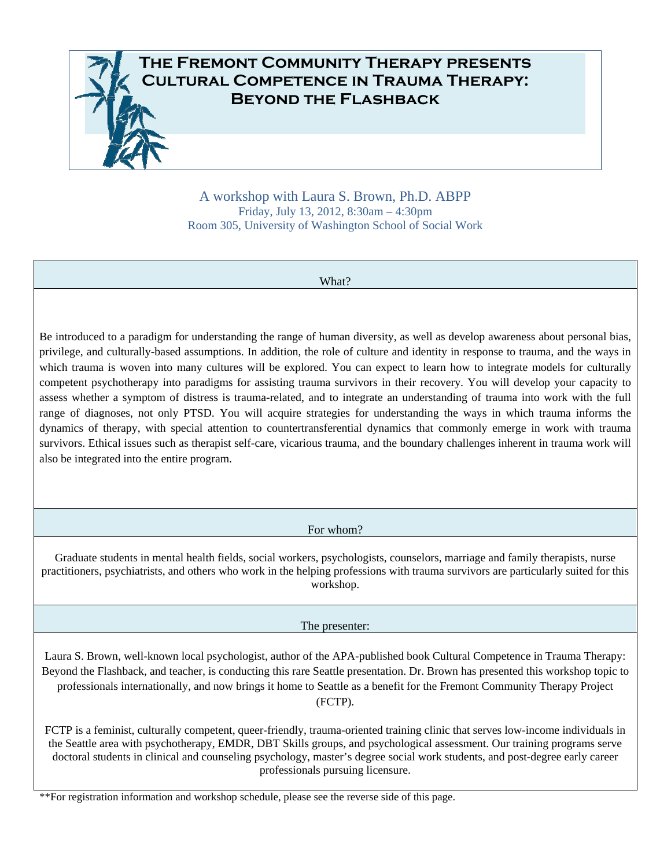

A workshop with Laura S. Brown, Ph.D. ABPP Friday, July 13, 2012, 8:30am – 4:30pm Room 305, University of Washington School of Social Work

| What?                                                                                                                                                                                                                                                                                                                                                                                                                                                                                                                                                                                                                                                                                                                                                                                                                                                                                                                                                                                                                                                                                               |  |
|-----------------------------------------------------------------------------------------------------------------------------------------------------------------------------------------------------------------------------------------------------------------------------------------------------------------------------------------------------------------------------------------------------------------------------------------------------------------------------------------------------------------------------------------------------------------------------------------------------------------------------------------------------------------------------------------------------------------------------------------------------------------------------------------------------------------------------------------------------------------------------------------------------------------------------------------------------------------------------------------------------------------------------------------------------------------------------------------------------|--|
| Be introduced to a paradigm for understanding the range of human diversity, as well as develop awareness about personal bias,<br>privilege, and culturally-based assumptions. In addition, the role of culture and identity in response to trauma, and the ways in<br>which trauma is woven into many cultures will be explored. You can expect to learn how to integrate models for culturally<br>competent psychotherapy into paradigms for assisting trauma survivors in their recovery. You will develop your capacity to<br>assess whether a symptom of distress is trauma-related, and to integrate an understanding of trauma into work with the full<br>range of diagnoses, not only PTSD. You will acquire strategies for understanding the ways in which trauma informs the<br>dynamics of therapy, with special attention to countertransferential dynamics that commonly emerge in work with trauma<br>survivors. Ethical issues such as therapist self-care, vicarious trauma, and the boundary challenges inherent in trauma work will<br>also be integrated into the entire program. |  |
| For whom?                                                                                                                                                                                                                                                                                                                                                                                                                                                                                                                                                                                                                                                                                                                                                                                                                                                                                                                                                                                                                                                                                           |  |
| Graduate students in mental health fields, social workers, psychologists, counselors, marriage and family therapists, nurse<br>practitioners, psychiatrists, and others who work in the helping professions with trauma survivors are particularly suited for this<br>workshop.                                                                                                                                                                                                                                                                                                                                                                                                                                                                                                                                                                                                                                                                                                                                                                                                                     |  |
| The presenter:                                                                                                                                                                                                                                                                                                                                                                                                                                                                                                                                                                                                                                                                                                                                                                                                                                                                                                                                                                                                                                                                                      |  |
| Laura S. Brown, well-known local psychologist, author of the APA-published book Cultural Competence in Trauma Therapy:<br>Beyond the Flashback, and teacher, is conducting this rare Seattle presentation. Dr. Brown has presented this workshop topic to<br>professionals internationally, and now brings it home to Seattle as a benefit for the Fremont Community Therapy Project<br>(FCTP).                                                                                                                                                                                                                                                                                                                                                                                                                                                                                                                                                                                                                                                                                                     |  |
| FCTP is a feminist, culturally competent, queer-friendly, trauma-oriented training clinic that serves low-income individuals in<br>the Seattle area with psychotherapy, EMDR, DBT Skills groups, and psychological assessment. Our training programs serve<br>doctoral students in clinical and counseling psychology, master's degree social work students, and post-degree early career                                                                                                                                                                                                                                                                                                                                                                                                                                                                                                                                                                                                                                                                                                           |  |

professionals pursuing licensure.

\*\*For registration information and workshop schedule, please see the reverse side of this page.